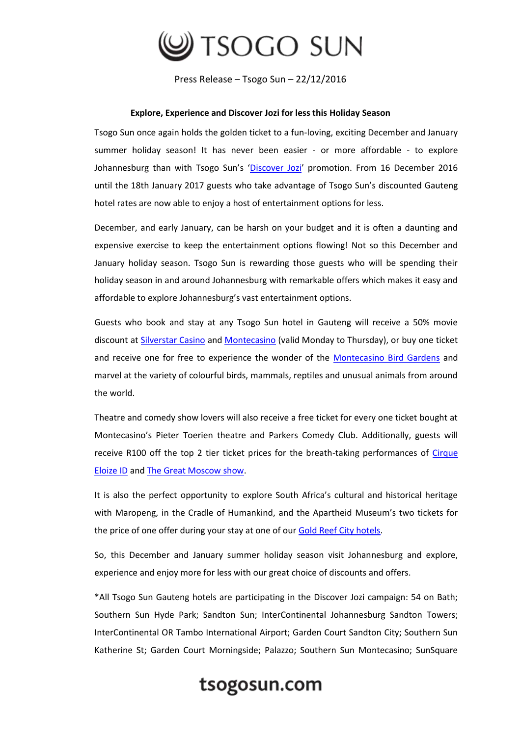

Press Release – Tsogo Sun – 22/12/2016

## **Explore, Experience and Discover Jozi for less this Holiday Season**

Tsogo Sun once again holds the golden ticket to a fun-loving, exciting December and January summer holiday season! It has never been easier - or more affordable - to explore Johannesburg than with Tsogo Sun's '[Discover Jozi](https://www.tsogosun.com/offers/discover-jozi)' promotion. From 16 December 2016 until the 18th January 2017 guests who take advantage of Tsogo Sun's discounted Gauteng hotel rates are now able to enjoy a host of entertainment options for less.

December, and early January, can be harsh on your budget and it is often a daunting and expensive exercise to keep the entertainment options flowing! Not so this December and January holiday season. Tsogo Sun is rewarding those guests who will be spending their holiday season in and around Johannesburg with remarkable offers which makes it easy and affordable to explore Johannesburg's vast entertainment options.

Guests who book and stay at any Tsogo Sun hotel in Gauteng will receive a 50% movie discount a[t Silverstar Casino](https://www.tsogosun.com/silverstar-casino/offers/50-percent-off-movies-silverstar-december-2016) an[d Montecasino](https://www.tsogosun.com/montecasino/offers/50-discount-at-movies-montecasino) (valid Monday to Thursday), or buy one ticket and receive one for free to experience the wonder of the [Montecasino Bird Gardens](https://www.tsogosun.com/montecasino/entertainment/bird-gardens) and marvel at the variety of colourful birds, mammals, reptiles and unusual animals from around the world.

Theatre and comedy show lovers will also receive a free ticket for every one ticket bought at Montecasino's Pieter Toerien theatre and Parkers Comedy Club. Additionally, guests will receive R100 off the top 2 tier ticket prices for the breath-taking performances of [Cirque](https://www.tsogosun.com/montecasino/whatson/teatro/cirque-eloize-id) [Eloize ID](https://www.tsogosun.com/montecasino/whatson/teatro/cirque-eloize-id) and [The Great Moscow show.](https://www.tsogosun.com/montecasino/whatson/events/moscow-circus)

It is also the perfect opportunity to explore South Africa's cultural and historical heritage with Maropeng, in the Cradle of Humankind, and the Apartheid Museum's two tickets for the price of one offer during your stay at one of our [Gold Reef City hotels.](https://www.tsogosun.com/gold-reef-city-casino/hotels)

So, this December and January summer holiday season visit Johannesburg and explore, experience and enjoy more for less with our great choice of discounts and offers.

\*All Tsogo Sun Gauteng hotels are participating in the Discover Jozi campaign: 54 on Bath; Southern Sun Hyde Park; Sandton Sun; InterContinental Johannesburg Sandton Towers; InterContinental OR Tambo International Airport; Garden Court Sandton City; Southern Sun Katherine St; Garden Court Morningside; Palazzo; Southern Sun Montecasino; SunSquare

## tsogosun.com